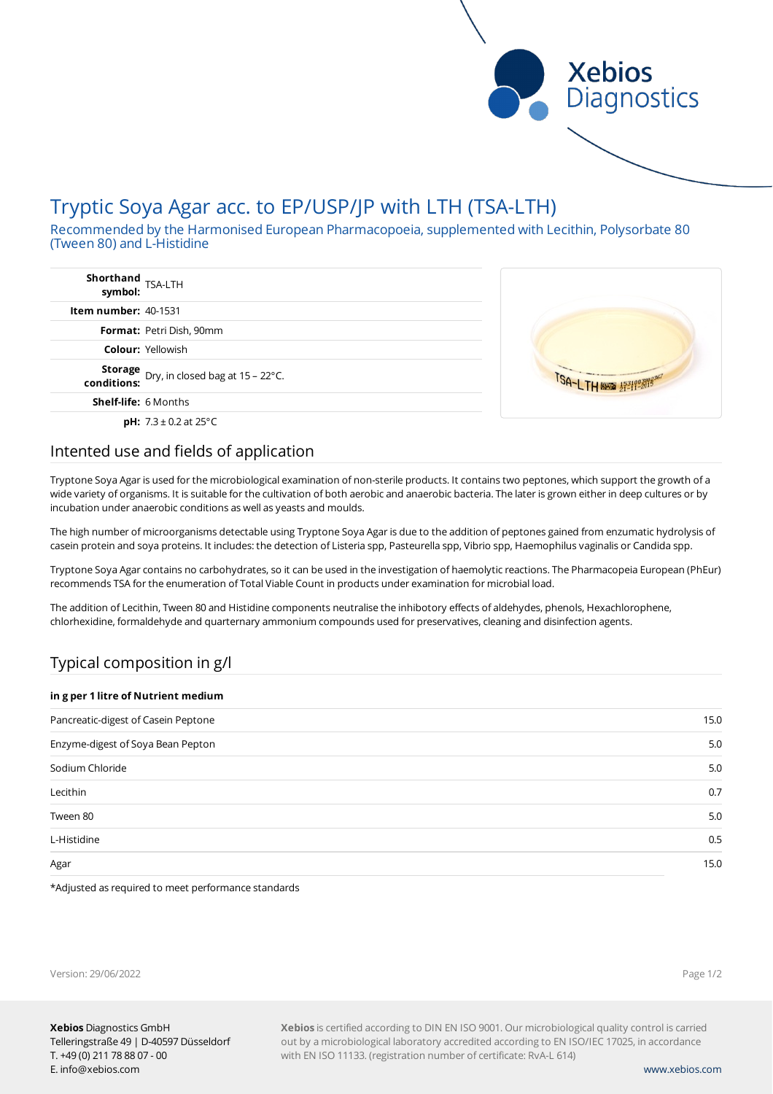

# Tryptic Soya Agar acc. to EP/USP/JP with LTH (TSA-LTH)

Recommended by the Harmonised European Pharmacopoeia, supplemented with Lecithin, Polysorbate 80 (Tween 80) and L-Histidine

| Shorthand<br>symbol: TSA-LTH                               |  |
|------------------------------------------------------------|--|
| <b>Item number: 40-1531</b>                                |  |
| <b>Format: Petri Dish, 90mm</b>                            |  |
| <b>Colour: Yellowish</b>                                   |  |
| Storage<br>Dry, in closed bag at 15 - 22°C.<br>conditions: |  |
| <b>Shelf-life:</b> 6 Months                                |  |
| <b>pH:</b> $7.3 \pm 0.2$ at 25°C                           |  |

### Intented use and fields of application

Tryptone Soya Agar is used for the microbiological examination of non-sterile products. It contains two peptones, which support the growth of a wide variety of organisms. It is suitable for the cultivation of both aerobic and anaerobic bacteria. The later is grown either in deep cultures or by incubation under anaerobic conditions as well as yeasts and moulds.

The high number of microorganisms detectable using Tryptone Soya Agar is due to the addition of peptones gained from enzumatic hydrolysis of casein protein and soya proteins. It includes: the detection of Listeria spp, Pasteurella spp, Vibrio spp, Haemophilus vaginalis or Candida spp.

Tryptone Soya Agar contains no carbohydrates, so it can be used in the investigation of haemolytic reactions. The Pharmacopeia European (PhEur) recommends TSA for the enumeration of Total Viable Count in products under examination for microbial load.

The addition of Lecithin, Tween 80 and Histidine components neutralise the inhibotory effects of aldehydes, phenols, Hexachlorophene, chlorhexidine, formaldehyde and quarternary ammonium compounds used for preservatives, cleaning and disinfection agents.

# Typical composition in g/l

| in g per 1 litre of Nutrient medium |  |  |
|-------------------------------------|--|--|
| 15.0                                |  |  |
| 5.0                                 |  |  |
| 5.0                                 |  |  |
| 0.7                                 |  |  |
| 5.0                                 |  |  |
| 0.5                                 |  |  |
| 15.0                                |  |  |
|                                     |  |  |

\*Adjusted as required to meet performance standards

Version: 29/06/2022

Page 1/2

**Xebios** is certified according to DIN EN ISO 9001. Our microbiological quality control is carried out by a microbiological laboratory accredited according to EN ISO/IEC 17025, in accordance with EN ISO 11133. (registration number of certificate: RvA-L 614)